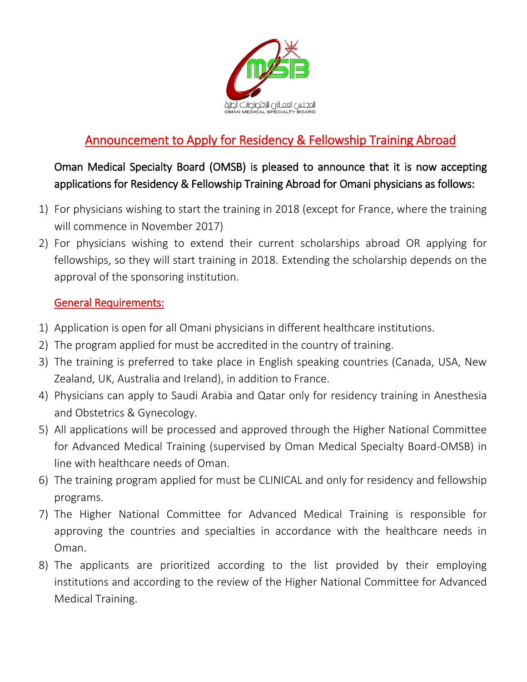

# Announcement to Apply for Residency & Fellowship Training Abroad

Oman Medical Specialty Board (OMSB) is pleased to announce that it is now accepting applications for Residency & Fellowship Training Abroad for Omani physicians as follows:

- 1) For physicians wishing to start the training in 2018 (except for France, where the training will commence in November 2017)
- 2) For physicians wishing to extend their current scholarships abroad OR applying for fellowships, so they will start training in 2018. Extending the scholarship depends on the approval of the sponsoring institution.

#### General Requirements:

- 1) Application is open for all Omani physicians in different healthcare institutions.
- 2) The program applied for must be accredited in the country of training.
- 3) The training is preferred to take place in English speaking countries (Canada, USA, New Zealand, UK, Australia and Ireland), in addition to France.
- 4) Physicians can apply to Saudi Arabia and Qatar only for residency training in Anesthesia and Obstetrics & Gynecology.
- 5) All applications will be processed and approved through the Higher National Committee for Advanced Medical Training (supervised by Oman Medical Specialty Board-OMSB) in line with healthcare needs of Oman.
- 6) The training program applied for must be CLINICAL and only for residency and fellowship programs.
- 7) The Higher National Committee for Advanced Medical Training is responsible for approving the countries and specialties in accordance with the healthcare needs in Oman.
- 8) The applicants are prioritized according to the list provided by their employing institutions and according to the review of the Higher National Committee for Advanced Medical Training.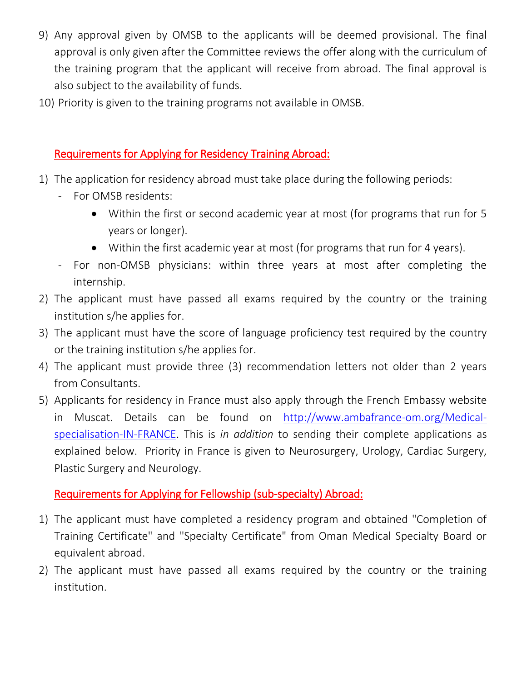- 9) Any approval given by OMSB to the applicants will be deemed provisional. The final approval is only given after the Committee reviews the offer along with the curriculum of the training program that the applicant will receive from abroad. The final approval is also subject to the availability of funds.
- 10) Priority is given to the training programs not available in OMSB.

### Requirements for Applying for Residency Training Abroad:

- 1) The application for residency abroad must take place during the following periods:
	- For OMSB residents:
		- Within the first or second academic year at most (for programs that run for 5 years or longer).
		- Within the first academic year at most (for programs that run for 4 years).
	- For non-OMSB physicians: within three years at most after completing the internship.
- 2) The applicant must have passed all exams required by the country or the training institution s/he applies for.
- 3) The applicant must have the score of language proficiency test required by the country or the training institution s/he applies for.
- 4) The applicant must provide three (3) recommendation letters not older than 2 years from Consultants.
- 5) Applicants for residency in France must also apply through the French Embassy website in Muscat. Details can be found on [http://www.ambafrance-om.org/Medical](http://www.ambafrance-om.org/Medical-specialisation-IN-FRANCE)[specialisation-IN-FRANCE.](http://www.ambafrance-om.org/Medical-specialisation-IN-FRANCE) This is *in addition* to sending their complete applications as explained below. Priority in France is given to Neurosurgery, Urology, Cardiac Surgery, Plastic Surgery and Neurology.

# Requirements for Applying for Fellowship (sub-specialty) Abroad:

- 1) The applicant must have completed a residency program and obtained "Completion of Training Certificate" and "Specialty Certificate" from Oman Medical Specialty Board or equivalent abroad.
- 2) The applicant must have passed all exams required by the country or the training institution.